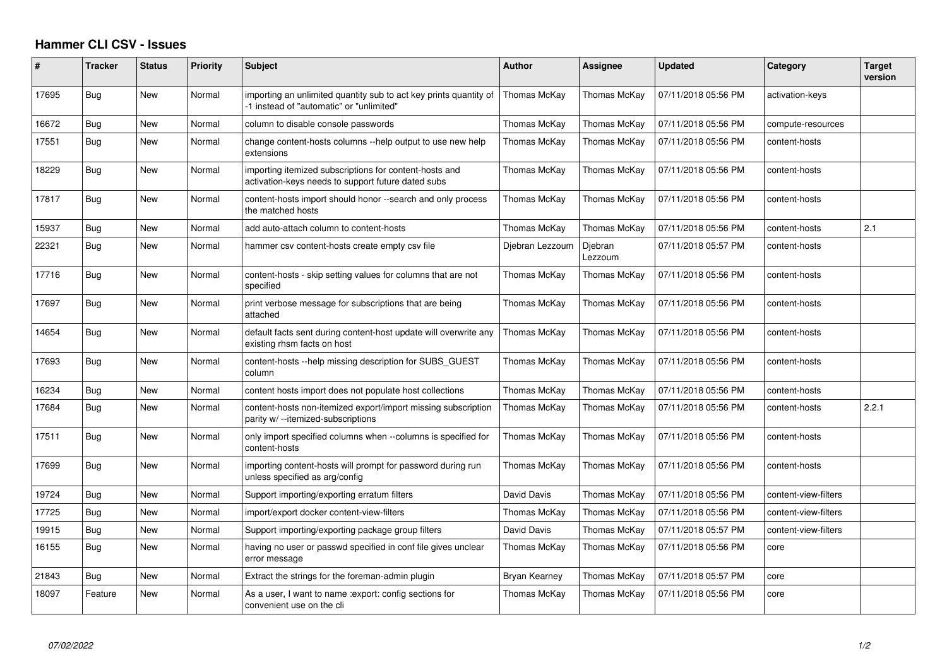## **Hammer CLI CSV - Issues**

| #     | <b>Tracker</b> | <b>Status</b> | Priority | <b>Subject</b>                                                                                                | <b>Author</b>   | Assignee           | <b>Updated</b>      | Category             | <b>Target</b><br>version |
|-------|----------------|---------------|----------|---------------------------------------------------------------------------------------------------------------|-----------------|--------------------|---------------------|----------------------|--------------------------|
| 17695 | Bug            | <b>New</b>    | Normal   | importing an unlimited quantity sub to act key prints quantity of<br>-1 instead of "automatic" or "unlimited" | Thomas McKay    | Thomas McKay       | 07/11/2018 05:56 PM | activation-keys      |                          |
| 16672 | Bug            | <b>New</b>    | Normal   | column to disable console passwords                                                                           | Thomas McKay    | Thomas McKay       | 07/11/2018 05:56 PM | compute-resources    |                          |
| 17551 | Bug            | New           | Normal   | change content-hosts columns --help output to use new help<br>extensions                                      | Thomas McKay    | Thomas McKay       | 07/11/2018 05:56 PM | content-hosts        |                          |
| 18229 | Bug            | New           | Normal   | importing itemized subscriptions for content-hosts and<br>activation-keys needs to support future dated subs  | Thomas McKay    | Thomas McKay       | 07/11/2018 05:56 PM | content-hosts        |                          |
| 17817 | Bug            | New           | Normal   | content-hosts import should honor --search and only process<br>the matched hosts                              | Thomas McKay    | Thomas McKay       | 07/11/2018 05:56 PM | content-hosts        |                          |
| 15937 | Bug            | New           | Normal   | add auto-attach column to content-hosts                                                                       | Thomas McKay    | Thomas McKay       | 07/11/2018 05:56 PM | content-hosts        | 2.1                      |
| 22321 | Bug            | <b>New</b>    | Normal   | hammer csy content-hosts create empty csy file                                                                | Diebran Lezzoum | Diebran<br>Lezzoum | 07/11/2018 05:57 PM | content-hosts        |                          |
| 17716 | Bug            | New           | Normal   | content-hosts - skip setting values for columns that are not<br>specified                                     | Thomas McKay    | Thomas McKay       | 07/11/2018 05:56 PM | content-hosts        |                          |
| 17697 | Bug            | New           | Normal   | print verbose message for subscriptions that are being<br>attached                                            | Thomas McKay    | Thomas McKay       | 07/11/2018 05:56 PM | content-hosts        |                          |
| 14654 | Bug            | <b>New</b>    | Normal   | default facts sent during content-host update will overwrite any<br>existing rhsm facts on host               | Thomas McKay    | Thomas McKay       | 07/11/2018 05:56 PM | content-hosts        |                          |
| 17693 | Bug            | New           | Normal   | content-hosts --help missing description for SUBS GUEST<br>column                                             | Thomas McKay    | Thomas McKay       | 07/11/2018 05:56 PM | content-hosts        |                          |
| 16234 | Bug            | <b>New</b>    | Normal   | content hosts import does not populate host collections                                                       | Thomas McKay    | Thomas McKay       | 07/11/2018 05:56 PM | content-hosts        |                          |
| 17684 | Bug            | New           | Normal   | content-hosts non-itemized export/import missing subscription<br>parity w/--itemized-subscriptions            | Thomas McKay    | Thomas McKay       | 07/11/2018 05:56 PM | content-hosts        | 2.2.1                    |
| 17511 | Bug            | New           | Normal   | only import specified columns when --columns is specified for<br>content-hosts                                | Thomas McKay    | Thomas McKay       | 07/11/2018 05:56 PM | content-hosts        |                          |
| 17699 | Bug            | New           | Normal   | importing content-hosts will prompt for password during run<br>unless specified as arg/config                 | Thomas McKay    | Thomas McKay       | 07/11/2018 05:56 PM | content-hosts        |                          |
| 19724 | Bug            | New           | Normal   | Support importing/exporting erratum filters                                                                   | David Davis     | Thomas McKay       | 07/11/2018 05:56 PM | content-view-filters |                          |
| 17725 | Bug            | <b>New</b>    | Normal   | import/export docker content-view-filters                                                                     | Thomas McKay    | Thomas McKay       | 07/11/2018 05:56 PM | content-view-filters |                          |
| 19915 | Bug            | New           | Normal   | Support importing/exporting package group filters                                                             | David Davis     | Thomas McKay       | 07/11/2018 05:57 PM | content-view-filters |                          |
| 16155 | Bug            | New           | Normal   | having no user or passwd specified in conf file gives unclear<br>error message                                | Thomas McKay    | Thomas McKay       | 07/11/2018 05:56 PM | core                 |                          |
| 21843 | Bug            | New           | Normal   | Extract the strings for the foreman-admin plugin                                                              | Bryan Kearney   | Thomas McKay       | 07/11/2018 05:57 PM | core                 |                          |
| 18097 | Feature        | New           | Normal   | As a user, I want to name : export: config sections for<br>convenient use on the cli                          | Thomas McKay    | Thomas McKay       | 07/11/2018 05:56 PM | core                 |                          |